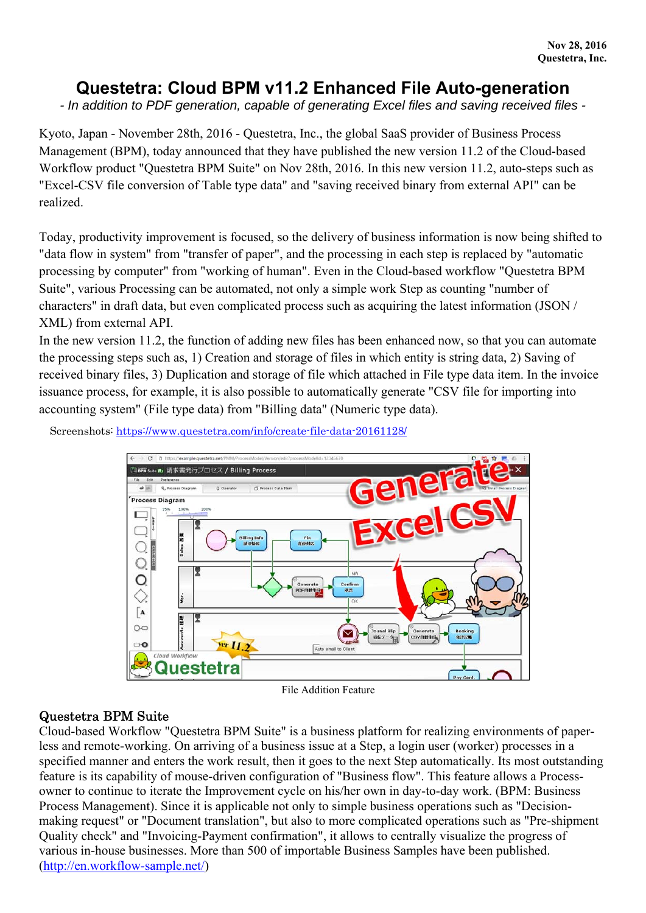# **Questetra: Cloud BPM v11.2 Enhanced File Auto-generation**

*- In addition to PDF generation, capable of generating Excel files and saving received files -* 

Kyoto, Japan - November 28th, 2016 - Questetra, Inc., the global SaaS provider of Business Process Management (BPM), today announced that they have published the new version 11.2 of the Cloud-based Workflow product "Questetra BPM Suite" on Nov 28th, 2016. In this new version 11.2, auto-steps such as "Excel-CSV file conversion of Table type data" and "saving received binary from external API" can be realized.

Today, productivity improvement is focused, so the delivery of business information is now being shifted to "data flow in system" from "transfer of paper", and the processing in each step is replaced by "automatic processing by computer" from "working of human". Even in the Cloud-based workflow "Questetra BPM Suite", various Processing can be automated, not only a simple work Step as counting "number of characters" in draft data, but even complicated process such as acquiring the latest information (JSON / XML) from external API.

In the new version 11.2, the function of adding new files has been enhanced now, so that you can automate the processing steps such as, 1) Creation and storage of files in which entity is string data, 2) Saving of received binary files, 3) Duplication and storage of file which attached in File type data item. In the invoice issuance process, for example, it is also possible to automatically generate "CSV file for importing into accounting system" (File type data) from "Billing data" (Numeric type data).

Screenshots: https://www.questetra.com/info/create-file-data-20161128/



File Addition Feature

## Questetra BPM Suite

Cloud-based Workflow "Questetra BPM Suite" is a business platform for realizing environments of paperless and remote-working. On arriving of a business issue at a Step, a login user (worker) processes in a specified manner and enters the work result, then it goes to the next Step automatically. Its most outstanding feature is its capability of mouse-driven configuration of "Business flow". This feature allows a Processowner to continue to iterate the Improvement cycle on his/her own in day-to-day work. (BPM: Business Process Management). Since it is applicable not only to simple business operations such as "Decisionmaking request" or "Document translation", but also to more complicated operations such as "Pre-shipment Quality check" and "Invoicing-Payment confirmation", it allows to centrally visualize the progress of various in-house businesses. More than 500 of importable Business Samples have been published. (http://en.workflow-sample.net/)